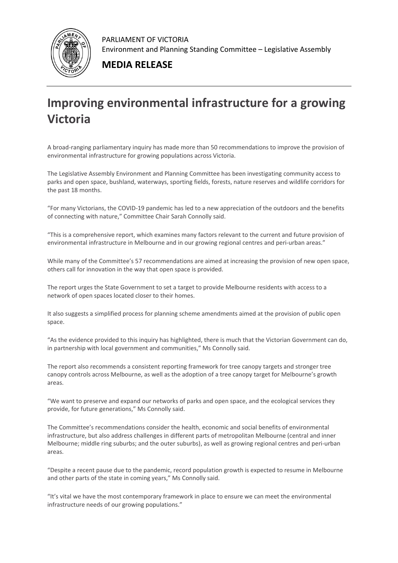

PARLIAMENT OF VICTORIA Environment and Planning Standing Committee – Legislative Assembly

## **MEDIA RELEASE**

## **Improving environmental infrastructure for a growing Victoria**

A broad-ranging parliamentary inquiry has made more than 50 recommendations to improve the provision of environmental infrastructure for growing populations across Victoria.

The Legislative Assembly Environment and Planning Committee has been investigating community access to parks and open space, bushland, waterways, sporting fields, forests, nature reserves and wildlife corridors for the past 18 months.

"For many Victorians, the COVID-19 pandemic has led to a new appreciation of the outdoors and the benefits of connecting with nature," Committee Chair Sarah Connolly said.

"This is a comprehensive report, which examines many factors relevant to the current and future provision of environmental infrastructure in Melbourne and in our growing regional centres and peri-urban areas."

While many of the Committee's 57 recommendations are aimed at increasing the provision of new open space, others call for innovation in the way that open space is provided.

The report urges the State Government to set a target to provide Melbourne residents with access to a network of open spaces located closer to their homes.

It also suggests a simplified process for planning scheme amendments aimed at the provision of public open space.

"As the evidence provided to this inquiry has highlighted, there is much that the Victorian Government can do, in partnership with local government and communities," Ms Connolly said.

The report also recommends a consistent reporting framework for tree canopy targets and stronger tree canopy controls across Melbourne, as well as the adoption of a tree canopy target for Melbourne's growth areas.

"We want to preserve and expand our networks of parks and open space, and the ecological services they provide, for future generations," Ms Connolly said.

The Committee's recommendations consider the health, economic and social benefits of environmental infrastructure, but also address challenges in different parts of metropolitan Melbourne (central and inner Melbourne; middle ring suburbs; and the outer suburbs), as well as growing regional centres and peri-urban areas.

"Despite a recent pause due to the pandemic, record population growth is expected to resume in Melbourne and other parts of the state in coming years," Ms Connolly said.

"It's vital we have the most contemporary framework in place to ensure we can meet the environmental infrastructure needs of our growing populations."